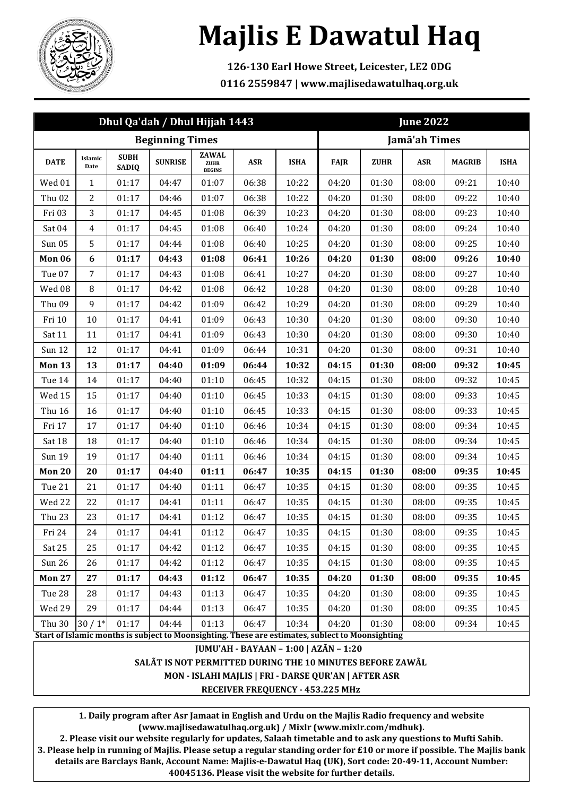

## **Majlis E Dawatul Haq**

**126-130 Earl Howe Street, Leicester, LE2 0DG 0116 2559847 | www.majlisedawatulhaq.org.uk**

| Dhul Qa'dah / Dhul Hijjah 1443                                                                   |                 |                             |                |                                       |       |             | <b>June 2022</b> |             |            |               |             |
|--------------------------------------------------------------------------------------------------|-----------------|-----------------------------|----------------|---------------------------------------|-------|-------------|------------------|-------------|------------|---------------|-------------|
| <b>Beginning Times</b>                                                                           |                 |                             |                |                                       |       |             | Jamā'ah Times    |             |            |               |             |
| <b>DATE</b>                                                                                      | Islamic<br>Date | <b>SUBH</b><br><b>SADIQ</b> | <b>SUNRISE</b> | <b>ZAWAL</b><br>ZUHR<br><b>BEGINS</b> | ASR   | <b>ISHA</b> | <b>FAJR</b>      | <b>ZUHR</b> | <b>ASR</b> | <b>MAGRIB</b> | <b>ISHA</b> |
| Wed 01                                                                                           | $\mathbf{1}$    | 01:17                       | 04:47          | 01:07                                 | 06:38 | 10:22       | 04:20            | 01:30       | 08:00      | 09:21         | 10:40       |
| Thu <sub>02</sub>                                                                                | $\overline{2}$  | 01:17                       | 04:46          | 01:07                                 | 06:38 | 10:22       | 04:20            | 01:30       | 08:00      | 09:22         | 10:40       |
| Fri 03                                                                                           | 3               | 01:17                       | 04:45          | 01:08                                 | 06:39 | 10:23       | 04:20            | 01:30       | 08:00      | 09:23         | 10:40       |
| Sat 04                                                                                           | $\overline{4}$  | 01:17                       | 04:45          | 01:08                                 | 06:40 | 10:24       | 04:20            | 01:30       | 08:00      | 09:24         | 10:40       |
| <b>Sun 05</b>                                                                                    | 5               | 01:17                       | 04:44          | 01:08                                 | 06:40 | 10:25       | 04:20            | 01:30       | 08:00      | 09:25         | 10:40       |
| Mon 06                                                                                           | 6               | 01:17                       | 04:43          | 01:08                                 | 06:41 | 10:26       | 04:20            | 01:30       | 08:00      | 09:26         | 10:40       |
| Tue 07                                                                                           | 7               | 01:17                       | 04:43          | 01:08                                 | 06:41 | 10:27       | 04:20            | 01:30       | 08:00      | 09:27         | 10:40       |
| Wed 08                                                                                           | 8               | 01:17                       | 04:42          | 01:08                                 | 06:42 | 10:28       | 04:20            | 01:30       | 08:00      | 09:28         | 10:40       |
| Thu 09                                                                                           | 9               | 01:17                       | 04:42          | 01:09                                 | 06:42 | 10:29       | 04:20            | 01:30       | 08:00      | 09:29         | 10:40       |
| Fri 10                                                                                           | 10              | 01:17                       | 04:41          | 01:09                                 | 06:43 | 10:30       | 04:20            | 01:30       | 08:00      | 09:30         | 10:40       |
| Sat 11                                                                                           | 11              | 01:17                       | 04:41          | 01:09                                 | 06:43 | 10:30       | 04:20            | 01:30       | 08:00      | 09:30         | 10:40       |
| <b>Sun 12</b>                                                                                    | 12              | 01:17                       | 04:41          | 01:09                                 | 06:44 | 10:31       | 04:20            | 01:30       | 08:00      | 09:31         | 10:40       |
| <b>Mon 13</b>                                                                                    | 13              | 01:17                       | 04:40          | 01:09                                 | 06:44 | 10:32       | 04:15            | 01:30       | 08:00      | 09:32         | 10:45       |
| Tue 14                                                                                           | 14              | 01:17                       | 04:40          | 01:10                                 | 06:45 | 10:32       | 04:15            | 01:30       | 08:00      | 09:32         | 10:45       |
| Wed 15                                                                                           | 15              | 01:17                       | 04:40          | 01:10                                 | 06:45 | 10:33       | 04:15            | 01:30       | 08:00      | 09:33         | 10:45       |
| Thu 16                                                                                           | 16              | 01:17                       | 04:40          | 01:10                                 | 06:45 | 10:33       | 04:15            | 01:30       | 08:00      | 09:33         | 10:45       |
| Fri 17                                                                                           | 17              | 01:17                       | 04:40          | 01:10                                 | 06:46 | 10:34       | 04:15            | 01:30       | 08:00      | 09:34         | 10:45       |
| Sat 18                                                                                           | 18              | 01:17                       | 04:40          | 01:10                                 | 06:46 | 10:34       | 04:15            | 01:30       | 08:00      | 09:34         | 10:45       |
| Sun 19                                                                                           | 19              | 01:17                       | 04:40          | 01:11                                 | 06:46 | 10:34       | 04:15            | 01:30       | 08:00      | 09:34         | 10:45       |
| Mon 20                                                                                           | 20              | 01:17                       | 04:40          | 01:11                                 | 06:47 | 10:35       | 04:15            | 01:30       | 08:00      | 09:35         | 10:45       |
| Tue 21                                                                                           | 21              | 01:17                       | 04:40          | 01:11                                 | 06:47 | 10:35       | 04:15            | 01:30       | 08:00      | 09:35         | 10:45       |
| Wed 22                                                                                           | 22              | 01:17                       | 04:41          | 01:11                                 | 06:47 | 10:35       | 04:15            | 01:30       | 08:00      | 09:35         | 10:45       |
| Thu 23                                                                                           | 23              | 01:17                       | 04:41          | 01:12                                 | 06:47 | 10:35       | 04:15            | 01:30       | 08:00      | 09:35         | 10:45       |
| Fri 24                                                                                           | 24              | 01:17                       | 04:41          | 01:12                                 | 06:47 | 10:35       | 04:15            | 01:30       | 08:00      | 09:35         | 10:45       |
| Sat 25                                                                                           | 25              | 01:17                       | 04:42          | 01:12                                 | 06:47 | 10:35       | 04:15            | 01:30       | 08:00      | 09:35         | 10:45       |
| Sun 26                                                                                           | 26              | 01:17                       | 04:42          | 01:12                                 | 06:47 | 10:35       | 04:15            | 01:30       | 08:00      | 09:35         | 10:45       |
| <b>Mon 27</b>                                                                                    | 27              | 01:17                       | 04:43          | 01:12                                 | 06:47 | 10:35       | 04:20            | 01:30       | 08:00      | 09:35         | 10:45       |
| Tue 28                                                                                           | 28              | 01:17                       | 04:43          | 01:13                                 | 06:47 | 10:35       | 04:20            | 01:30       | 08:00      | 09:35         | 10:45       |
| Wed 29                                                                                           | 29              | 01:17                       | 04:44          | 01:13                                 | 06:47 | 10:35       | 04:20            | 01:30       | 08:00      | 09:35         | 10:45       |
| Thu 30                                                                                           | $30/1*$         | 01:17                       | 04:44          | 01:13                                 | 06:47 | 10:34       | 04:20            | 01:30       | 08:00      | 09:34         | 10:45       |
| Start of Islamic months is subject to Moonsighting. These are estimates, sublect to Moonsighting |                 |                             |                |                                       |       |             |                  |             |            |               |             |

**JUMU'AH - BAYAAN – 1:00 | AZÃN – 1:20** 

**SALÃT IS NOT PERMITTED DURING THE 10 MINUTES BEFORE ZAWÃL** 

**MON - ISLAHI MAJLIS | FRI - DARSE QUR'AN | AFTER ASR**

**RECEIVER FREQUENCY - 453.225 MHz** 

**1. Daily program after Asr Jamaat in English and Urdu on the Majlis Radio frequency and website (www.majlisedawatulhaq.org.uk) / Mixlr (www.mixlr.com/mdhuk).**

**2. Please visit our website regularly for updates, Salaah timetable and to ask any questions to Mufti Sahib. 3. Please help in running of Majlis. Please setup a regular standing order for £10 or more if possible. The Majlis bank details are Barclays Bank, Account Name: Majlis-e-Dawatul Haq (UK), Sort code: 20-49-11, Account Number: 40045136. Please visit the website for further details.**